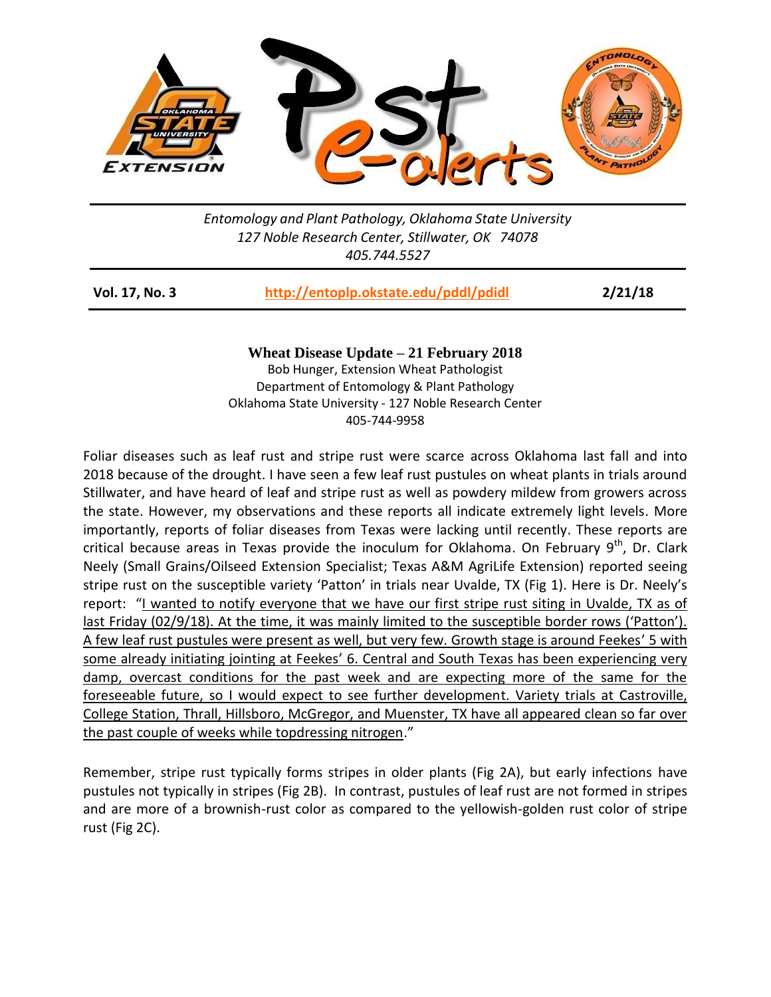

*Entomology and Plant Pathology, Oklahoma State University 127 Noble Research Center, Stillwater, OK 74078 405.744.5527*

| Vol. 17, No. 3 | http://entoplp.okstate.edu/pddl/pdidl | 2/21/18 |
|----------------|---------------------------------------|---------|
|----------------|---------------------------------------|---------|

**Wheat Disease Update – 21 February 2018** Bob Hunger, Extension Wheat Pathologist Department of Entomology & Plant Pathology Oklahoma State University - 127 Noble Research Center 405-744-9958

Foliar diseases such as leaf rust and stripe rust were scarce across Oklahoma last fall and into 2018 because of the drought. I have seen a few leaf rust pustules on wheat plants in trials around Stillwater, and have heard of leaf and stripe rust as well as powdery mildew from growers across the state. However, my observations and these reports all indicate extremely light levels. More importantly, reports of foliar diseases from Texas were lacking until recently. These reports are critical because areas in Texas provide the inoculum for Oklahoma. On February  $9<sup>th</sup>$ , Dr. Clark Neely (Small Grains/Oilseed Extension Specialist; Texas A&M AgriLife Extension) reported seeing stripe rust on the susceptible variety 'Patton' in trials near Uvalde, TX (Fig 1). Here is Dr. Neely's report: "I wanted to notify everyone that we have our first stripe rust siting in Uvalde, TX as of last Friday (02/9/18). At the time, it was mainly limited to the susceptible border rows ('Patton'). A few leaf rust pustules were present as well, but very few. Growth stage is around Feekes' 5 with some already initiating jointing at Feekes' 6. Central and South Texas has been experiencing very damp, overcast conditions for the past week and are expecting more of the same for the foreseeable future, so I would expect to see further development. Variety trials at Castroville, College Station, Thrall, Hillsboro, McGregor, and Muenster, TX have all appeared clean so far over the past couple of weeks while topdressing nitrogen."

Remember, stripe rust typically forms stripes in older plants (Fig 2A), but early infections have pustules not typically in stripes (Fig 2B). In contrast, pustules of leaf rust are not formed in stripes and are more of a brownish-rust color as compared to the yellowish-golden rust color of stripe rust (Fig 2C).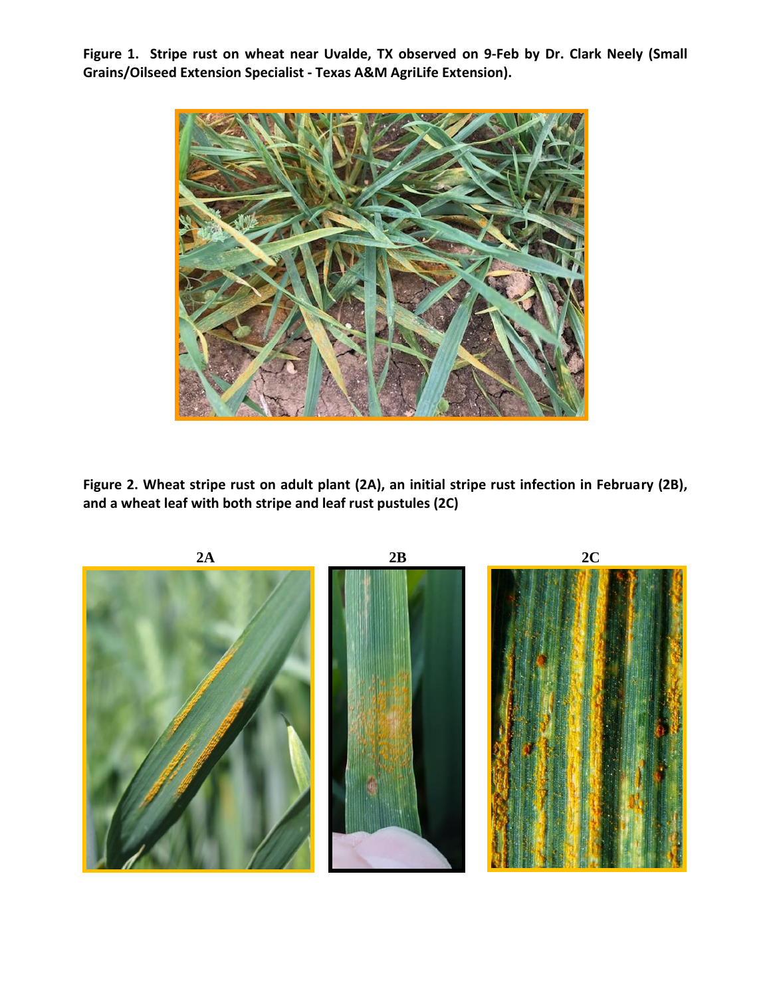**Figure 1. Stripe rust on wheat near Uvalde, TX observed on 9-Feb by Dr. Clark Neely (Small Grains/Oilseed Extension Specialist - Texas A&M AgriLife Extension).**



**Figure 2. Wheat stripe rust on adult plant (2A), an initial stripe rust infection in February (2B), and a wheat leaf with both stripe and leaf rust pustules (2C)**